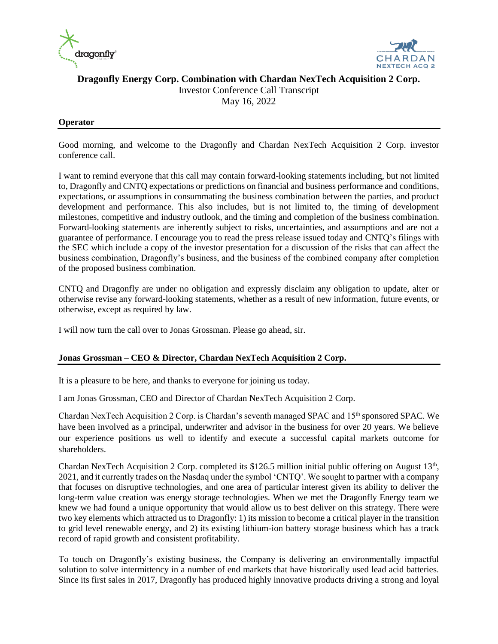



# **Dragonfly Energy Corp. Combination with Chardan NexTech Acquisition 2 Corp.**

Investor Conference Call Transcript

May 16, 2022

# **Operator**

Good morning, and welcome to the Dragonfly and Chardan NexTech Acquisition 2 Corp. investor conference call.

I want to remind everyone that this call may contain forward-looking statements including, but not limited to, Dragonfly and CNTQ expectations or predictions on financial and business performance and conditions, expectations, or assumptions in consummating the business combination between the parties, and product development and performance. This also includes, but is not limited to, the timing of development milestones, competitive and industry outlook, and the timing and completion of the business combination. Forward-looking statements are inherently subject to risks, uncertainties, and assumptions and are not a guarantee of performance. I encourage you to read the press release issued today and CNTQ's filings with the SEC which include a copy of the investor presentation for a discussion of the risks that can affect the business combination, Dragonfly's business, and the business of the combined company after completion of the proposed business combination.

CNTQ and Dragonfly are under no obligation and expressly disclaim any obligation to update, alter or otherwise revise any forward-looking statements, whether as a result of new information, future events, or otherwise, except as required by law.

I will now turn the call over to Jonas Grossman. Please go ahead, sir.

# **Jonas Grossman – CEO & Director, Chardan NexTech Acquisition 2 Corp.**

It is a pleasure to be here, and thanks to everyone for joining us today.

I am Jonas Grossman, CEO and Director of Chardan NexTech Acquisition 2 Corp.

Chardan NexTech Acquisition 2 Corp. is Chardan's seventh managed SPAC and 15th sponsored SPAC. We have been involved as a principal, underwriter and advisor in the business for over 20 years. We believe our experience positions us well to identify and execute a successful capital markets outcome for shareholders.

Chardan NexTech Acquisition 2 Corp. completed its \$126.5 million initial public offering on August  $13<sup>th</sup>$ , 2021, and it currently trades on the Nasdaq under the symbol 'CNTQ'. We sought to partner with a company that focuses on disruptive technologies, and one area of particular interest given its ability to deliver the long-term value creation was energy storage technologies. When we met the Dragonfly Energy team we knew we had found a unique opportunity that would allow us to best deliver on this strategy. There were two key elements which attracted us to Dragonfly: 1) its mission to become a critical player in the transition to grid level renewable energy, and 2) its existing lithium-ion battery storage business which has a track record of rapid growth and consistent profitability.

To touch on Dragonfly's existing business, the Company is delivering an environmentally impactful solution to solve intermittency in a number of end markets that have historically used lead acid batteries. Since its first sales in 2017, Dragonfly has produced highly innovative products driving a strong and loyal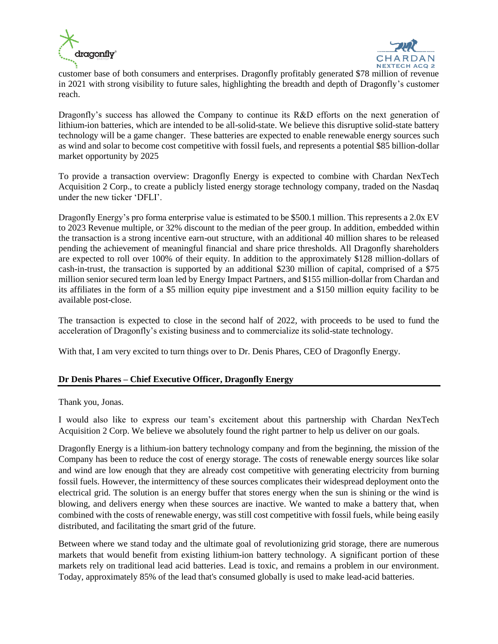



customer base of both consumers and enterprises. Dragonfly profitably generated \$78 million of revenue in 2021 with strong visibility to future sales, highlighting the breadth and depth of Dragonfly's customer reach.

Dragonfly's success has allowed the Company to continue its R&D efforts on the next generation of lithium-ion batteries, which are intended to be all-solid-state. We believe this disruptive solid-state battery technology will be a game changer. These batteries are expected to enable renewable energy sources such as wind and solar to become cost competitive with fossil fuels, and represents a potential \$85 billion-dollar market opportunity by 2025

To provide a transaction overview: Dragonfly Energy is expected to combine with Chardan NexTech Acquisition 2 Corp., to create a publicly listed energy storage technology company, traded on the Nasdaq under the new ticker 'DFLI'.

Dragonfly Energy's pro forma enterprise value is estimated to be \$500.1 million. This represents a 2.0x EV to 2023 Revenue multiple, or 32% discount to the median of the peer group. In addition, embedded within the transaction is a strong incentive earn-out structure, with an additional 40 million shares to be released pending the achievement of meaningful financial and share price thresholds. All Dragonfly shareholders are expected to roll over 100% of their equity. In addition to the approximately \$128 million-dollars of cash-in-trust, the transaction is supported by an additional \$230 million of capital, comprised of a \$75 million senior secured term loan led by Energy Impact Partners, and \$155 million-dollar from Chardan and its affiliates in the form of a \$5 million equity pipe investment and a \$150 million equity facility to be available post-close.

The transaction is expected to close in the second half of 2022, with proceeds to be used to fund the acceleration of Dragonfly's existing business and to commercialize its solid-state technology.

With that, I am very excited to turn things over to Dr. Denis Phares, CEO of Dragonfly Energy.

# **Dr Denis Phares – Chief Executive Officer, Dragonfly Energy**

Thank you, Jonas.

I would also like to express our team's excitement about this partnership with Chardan NexTech Acquisition 2 Corp. We believe we absolutely found the right partner to help us deliver on our goals.

Dragonfly Energy is a lithium-ion battery technology company and from the beginning, the mission of the Company has been to reduce the cost of energy storage. The costs of renewable energy sources like solar and wind are low enough that they are already cost competitive with generating electricity from burning fossil fuels. However, the intermittency of these sources complicates their widespread deployment onto the electrical grid. The solution is an energy buffer that stores energy when the sun is shining or the wind is blowing, and delivers energy when these sources are inactive. We wanted to make a battery that, when combined with the costs of renewable energy, was still cost competitive with fossil fuels, while being easily distributed, and facilitating the smart grid of the future.

Between where we stand today and the ultimate goal of revolutionizing grid storage, there are numerous markets that would benefit from existing lithium-ion battery technology. A significant portion of these markets rely on traditional lead acid batteries. Lead is toxic, and remains a problem in our environment. Today, approximately 85% of the lead that's consumed globally is used to make lead-acid batteries.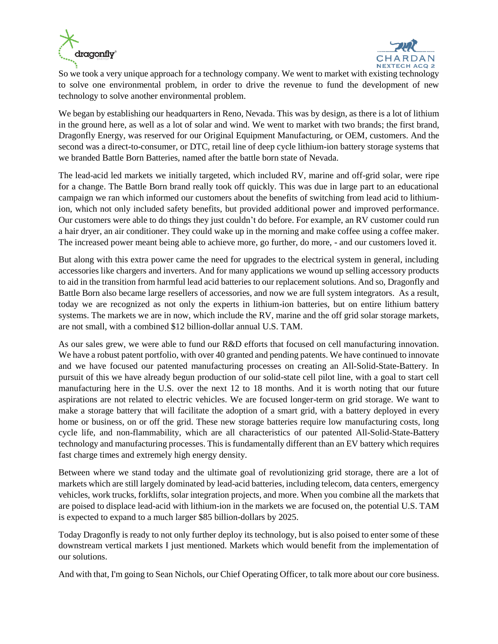



So we took a very unique approach for a technology company. We went to market with existing technology to solve one environmental problem, in order to drive the revenue to fund the development of new technology to solve another environmental problem.

We began by establishing our headquarters in Reno, Nevada. This was by design, as there is a lot of lithium in the ground here, as well as a lot of solar and wind. We went to market with two brands; the first brand, Dragonfly Energy, was reserved for our Original Equipment Manufacturing, or OEM, customers. And the second was a direct-to-consumer, or DTC, retail line of deep cycle lithium-ion battery storage systems that we branded Battle Born Batteries, named after the battle born state of Nevada.

The lead-acid led markets we initially targeted, which included RV, marine and off-grid solar, were ripe for a change. The Battle Born brand really took off quickly. This was due in large part to an educational campaign we ran which informed our customers about the benefits of switching from lead acid to lithiumion, which not only included safety benefits, but provided additional power and improved performance. Our customers were able to do things they just couldn't do before. For example, an RV customer could run a hair dryer, an air conditioner. They could wake up in the morning and make coffee using a coffee maker. The increased power meant being able to achieve more, go further, do more, - and our customers loved it.

But along with this extra power came the need for upgrades to the electrical system in general, including accessories like chargers and inverters. And for many applications we wound up selling accessory products to aid in the transition from harmful lead acid batteries to our replacement solutions. And so, Dragonfly and Battle Born also became large resellers of accessories, and now we are full system integrators. As a result, today we are recognized as not only the experts in lithium-ion batteries, but on entire lithium battery systems. The markets we are in now, which include the RV, marine and the off grid solar storage markets, are not small, with a combined \$12 billion-dollar annual U.S. TAM.

As our sales grew, we were able to fund our R&D efforts that focused on cell manufacturing innovation. We have a robust patent portfolio, with over 40 granted and pending patents. We have continued to innovate and we have focused our patented manufacturing processes on creating an All-Solid-State-Battery. In pursuit of this we have already begun production of our solid-state cell pilot line, with a goal to start cell manufacturing here in the U.S. over the next 12 to 18 months. And it is worth noting that our future aspirations are not related to electric vehicles. We are focused longer-term on grid storage. We want to make a storage battery that will facilitate the adoption of a smart grid, with a battery deployed in every home or business, on or off the grid. These new storage batteries require low manufacturing costs, long cycle life, and non-flammability, which are all characteristics of our patented All-Solid-State-Battery technology and manufacturing processes. This is fundamentally different than an EV battery which requires fast charge times and extremely high energy density.

Between where we stand today and the ultimate goal of revolutionizing grid storage, there are a lot of markets which are still largely dominated by lead-acid batteries, including telecom, data centers, emergency vehicles, work trucks, forklifts, solar integration projects, and more. When you combine all the markets that are poised to displace lead-acid with lithium-ion in the markets we are focused on, the potential U.S. TAM is expected to expand to a much larger \$85 billion-dollars by 2025.

Today Dragonfly is ready to not only further deploy its technology, but is also poised to enter some of these downstream vertical markets I just mentioned. Markets which would benefit from the implementation of our solutions.

And with that, I'm going to Sean Nichols, our Chief Operating Officer, to talk more about our core business.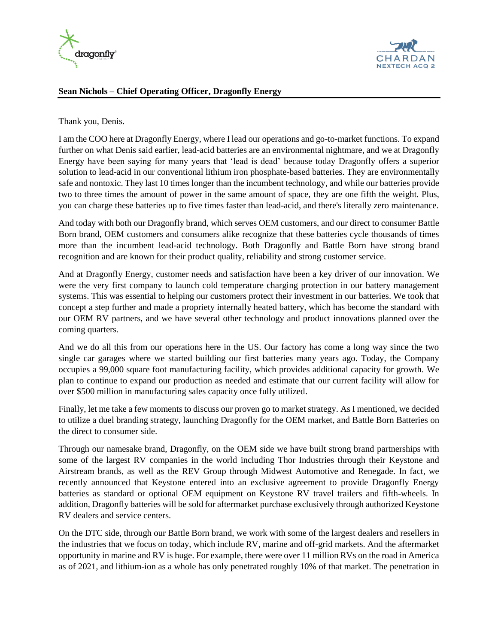



# **Sean Nichols – Chief Operating Officer, Dragonfly Energy**

Thank you, Denis.

I am the COO here at Dragonfly Energy, where I lead our operations and go-to-market functions. To expand further on what Denis said earlier, lead-acid batteries are an environmental nightmare, and we at Dragonfly Energy have been saying for many years that 'lead is dead' because today Dragonfly offers a superior solution to lead-acid in our conventional lithium iron phosphate-based batteries. They are environmentally safe and nontoxic. They last 10 times longer than the incumbent technology, and while our batteries provide two to three times the amount of power in the same amount of space, they are one fifth the weight. Plus, you can charge these batteries up to five times faster than lead-acid, and there's literally zero maintenance.

And today with both our Dragonfly brand, which serves OEM customers, and our direct to consumer Battle Born brand, OEM customers and consumers alike recognize that these batteries cycle thousands of times more than the incumbent lead-acid technology. Both Dragonfly and Battle Born have strong brand recognition and are known for their product quality, reliability and strong customer service.

And at Dragonfly Energy, customer needs and satisfaction have been a key driver of our innovation. We were the very first company to launch cold temperature charging protection in our battery management systems. This was essential to helping our customers protect their investment in our batteries. We took that concept a step further and made a propriety internally heated battery, which has become the standard with our OEM RV partners, and we have several other technology and product innovations planned over the coming quarters.

And we do all this from our operations here in the US. Our factory has come a long way since the two single car garages where we started building our first batteries many years ago. Today, the Company occupies a 99,000 square foot manufacturing facility, which provides additional capacity for growth. We plan to continue to expand our production as needed and estimate that our current facility will allow for over \$500 million in manufacturing sales capacity once fully utilized.

Finally, let me take a few moments to discuss our proven go to market strategy. As I mentioned, we decided to utilize a duel branding strategy, launching Dragonfly for the OEM market, and Battle Born Batteries on the direct to consumer side.

Through our namesake brand, Dragonfly, on the OEM side we have built strong brand partnerships with some of the largest RV companies in the world including Thor Industries through their Keystone and Airstream brands, as well as the REV Group through Midwest Automotive and Renegade. In fact, we recently announced that Keystone entered into an exclusive agreement to provide Dragonfly Energy batteries as standard or optional OEM equipment on Keystone RV travel trailers and fifth-wheels. In addition, Dragonfly batteries will be sold for aftermarket purchase exclusively through authorized Keystone RV dealers and service centers.

On the DTC side, through our Battle Born brand, we work with some of the largest dealers and resellers in the industries that we focus on today, which include RV, marine and off-grid markets. And the aftermarket opportunity in marine and RV is huge. For example, there were over 11 million RVs on the road in America as of 2021, and lithium-ion as a whole has only penetrated roughly 10% of that market. The penetration in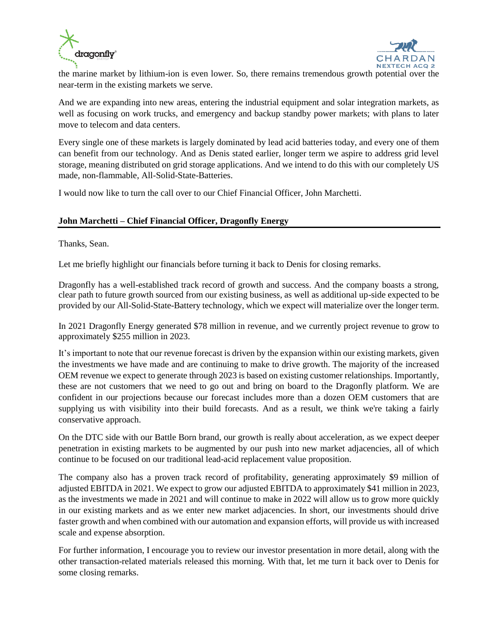



the marine market by lithium-ion is even lower. So, there remains tremendous growth potential over the near-term in the existing markets we serve.

And we are expanding into new areas, entering the industrial equipment and solar integration markets, as well as focusing on work trucks, and emergency and backup standby power markets; with plans to later move to telecom and data centers.

Every single one of these markets is largely dominated by lead acid batteries today, and every one of them can benefit from our technology. And as Denis stated earlier, longer term we aspire to address grid level storage, meaning distributed on grid storage applications. And we intend to do this with our completely US made, non-flammable, All-Solid-State-Batteries.

I would now like to turn the call over to our Chief Financial Officer, John Marchetti.

# **John Marchetti – Chief Financial Officer, Dragonfly Energy**

Thanks, Sean.

Let me briefly highlight our financials before turning it back to Denis for closing remarks.

Dragonfly has a well-established track record of growth and success. And the company boasts a strong, clear path to future growth sourced from our existing business, as well as additional up-side expected to be provided by our All-Solid-State-Battery technology, which we expect will materialize over the longer term.

In 2021 Dragonfly Energy generated \$78 million in revenue, and we currently project revenue to grow to approximately \$255 million in 2023.

It's important to note that our revenue forecast is driven by the expansion within our existing markets, given the investments we have made and are continuing to make to drive growth. The majority of the increased OEM revenue we expect to generate through 2023 is based on existing customer relationships. Importantly, these are not customers that we need to go out and bring on board to the Dragonfly platform. We are confident in our projections because our forecast includes more than a dozen OEM customers that are supplying us with visibility into their build forecasts. And as a result, we think we're taking a fairly conservative approach.

On the DTC side with our Battle Born brand, our growth is really about acceleration, as we expect deeper penetration in existing markets to be augmented by our push into new market adjacencies, all of which continue to be focused on our traditional lead-acid replacement value proposition.

The company also has a proven track record of profitability, generating approximately \$9 million of adjusted EBITDA in 2021. We expect to grow our adjusted EBITDA to approximately \$41 million in 2023, as the investments we made in 2021 and will continue to make in 2022 will allow us to grow more quickly in our existing markets and as we enter new market adjacencies. In short, our investments should drive faster growth and when combined with our automation and expansion efforts, will provide us with increased scale and expense absorption.

For further information, I encourage you to review our investor presentation in more detail, along with the other transaction-related materials released this morning. With that, let me turn it back over to Denis for some closing remarks.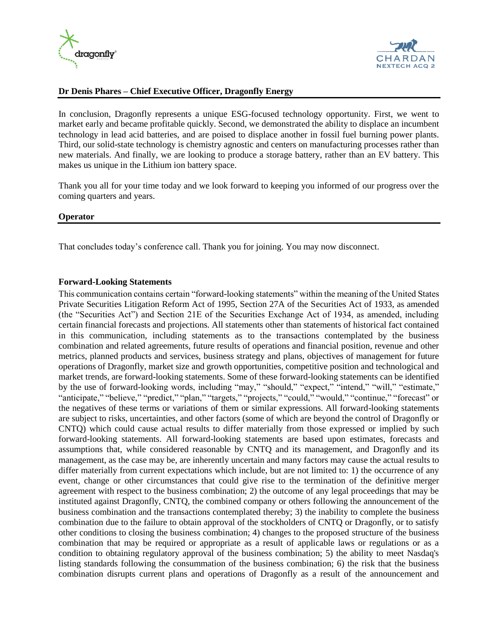



# **Dr Denis Phares – Chief Executive Officer, Dragonfly Energy**

In conclusion, Dragonfly represents a unique ESG-focused technology opportunity. First, we went to market early and became profitable quickly. Second, we demonstrated the ability to displace an incumbent technology in lead acid batteries, and are poised to displace another in fossil fuel burning power plants. Third, our solid-state technology is chemistry agnostic and centers on manufacturing processes rather than new materials. And finally, we are looking to produce a storage battery, rather than an EV battery. This makes us unique in the Lithium ion battery space.

Thank you all for your time today and we look forward to keeping you informed of our progress over the coming quarters and years.

#### **Operator**

That concludes today's conference call. Thank you for joining. You may now disconnect.

#### **Forward-Looking Statements**

This communication contains certain "forward-looking statements" within the meaning of the United States Private Securities Litigation Reform Act of 1995, Section 27A of the Securities Act of 1933, as amended (the "Securities Act") and Section 21E of the Securities Exchange Act of 1934, as amended, including certain financial forecasts and projections. All statements other than statements of historical fact contained in this communication, including statements as to the transactions contemplated by the business combination and related agreements, future results of operations and financial position, revenue and other metrics, planned products and services, business strategy and plans, objectives of management for future operations of Dragonfly, market size and growth opportunities, competitive position and technological and market trends, are forward-looking statements. Some of these forward-looking statements can be identified by the use of forward-looking words, including "may," "should," "expect," "intend," "will," "estimate," "anticipate," "believe," "predict," "plan," "targets," "projects," "could," "would," "continue," "forecast" or the negatives of these terms or variations of them or similar expressions. All forward-looking statements are subject to risks, uncertainties, and other factors (some of which are beyond the control of Dragonfly or CNTQ) which could cause actual results to differ materially from those expressed or implied by such forward-looking statements. All forward-looking statements are based upon estimates, forecasts and assumptions that, while considered reasonable by CNTQ and its management, and Dragonfly and its management, as the case may be, are inherently uncertain and many factors may cause the actual results to differ materially from current expectations which include, but are not limited to: 1) the occurrence of any event, change or other circumstances that could give rise to the termination of the definitive merger agreement with respect to the business combination; 2) the outcome of any legal proceedings that may be instituted against Dragonfly, CNTQ, the combined company or others following the announcement of the business combination and the transactions contemplated thereby; 3) the inability to complete the business combination due to the failure to obtain approval of the stockholders of CNTQ or Dragonfly, or to satisfy other conditions to closing the business combination; 4) changes to the proposed structure of the business combination that may be required or appropriate as a result of applicable laws or regulations or as a condition to obtaining regulatory approval of the business combination; 5) the ability to meet Nasdaq's listing standards following the consummation of the business combination; 6) the risk that the business combination disrupts current plans and operations of Dragonfly as a result of the announcement and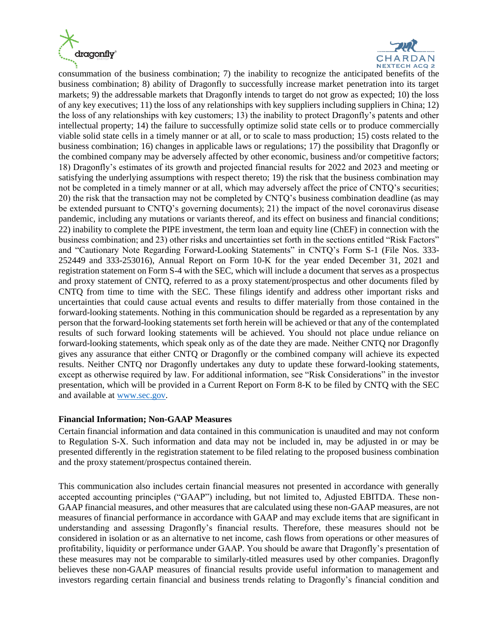



consummation of the business combination; 7) the inability to recognize the anticipated benefits of the business combination; 8) ability of Dragonfly to successfully increase market penetration into its target markets; 9) the addressable markets that Dragonfly intends to target do not grow as expected; 10) the loss of any key executives; 11) the loss of any relationships with key suppliers including suppliers in China; 12) the loss of any relationships with key customers; 13) the inability to protect Dragonfly's patents and other intellectual property; 14) the failure to successfully optimize solid state cells or to produce commercially viable solid state cells in a timely manner or at all, or to scale to mass production; 15) costs related to the business combination; 16) changes in applicable laws or regulations; 17) the possibility that Dragonfly or the combined company may be adversely affected by other economic, business and/or competitive factors; 18) Dragonfly's estimates of its growth and projected financial results for 2022 and 2023 and meeting or satisfying the underlying assumptions with respect thereto; 19) the risk that the business combination may not be completed in a timely manner or at all, which may adversely affect the price of CNTQ's securities; 20) the risk that the transaction may not be completed by CNTQ's business combination deadline (as may be extended pursuant to CNTQ's governing documents); 21) the impact of the novel coronavirus disease pandemic, including any mutations or variants thereof, and its effect on business and financial conditions; 22) inability to complete the PIPE investment, the term loan and equity line (ChEF) in connection with the business combination; and 23) other risks and uncertainties set forth in the sections entitled "Risk Factors" and "Cautionary Note Regarding Forward-Looking Statements" in CNTQ's Form S-1 (File Nos. 333- 252449 and 333-253016), Annual Report on Form 10-K for the year ended December 31, 2021 and registration statement on Form S-4 with the SEC, which will include a document that serves as a prospectus and proxy statement of CNTQ, referred to as a proxy statement/prospectus and other documents filed by CNTQ from time to time with the SEC. These filings identify and address other important risks and uncertainties that could cause actual events and results to differ materially from those contained in the forward-looking statements. Nothing in this communication should be regarded as a representation by any person that the forward-looking statements set forth herein will be achieved or that any of the contemplated results of such forward looking statements will be achieved. You should not place undue reliance on forward-looking statements, which speak only as of the date they are made. Neither CNTQ nor Dragonfly gives any assurance that either CNTQ or Dragonfly or the combined company will achieve its expected results. Neither CNTQ nor Dragonfly undertakes any duty to update these forward-looking statements, except as otherwise required by law. For additional information, see "Risk Considerations" in the investor presentation, which will be provided in a Current Report on Form 8-K to be filed by CNTQ with the SEC and available at [www.sec.gov.](http://www.sec.gov/)

# **Financial Information; Non-GAAP Measures**

Certain financial information and data contained in this communication is unaudited and may not conform to Regulation S-X. Such information and data may not be included in, may be adjusted in or may be presented differently in the registration statement to be filed relating to the proposed business combination and the proxy statement/prospectus contained therein.

This communication also includes certain financial measures not presented in accordance with generally accepted accounting principles ("GAAP") including, but not limited to, Adjusted EBITDA. These non-GAAP financial measures, and other measures that are calculated using these non-GAAP measures, are not measures of financial performance in accordance with GAAP and may exclude items that are significant in understanding and assessing Dragonfly's financial results. Therefore, these measures should not be considered in isolation or as an alternative to net income, cash flows from operations or other measures of profitability, liquidity or performance under GAAP. You should be aware that Dragonfly's presentation of these measures may not be comparable to similarly-titled measures used by other companies. Dragonfly believes these non-GAAP measures of financial results provide useful information to management and investors regarding certain financial and business trends relating to Dragonfly's financial condition and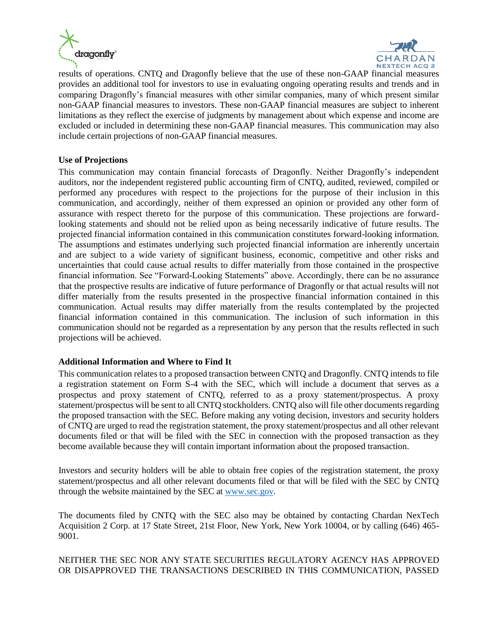



results of operations. CNTQ and Dragonfly believe that the use of these non-GAAP financial measures provides an additional tool for investors to use in evaluating ongoing operating results and trends and in comparing Dragonfly's financial measures with other similar companies, many of which present similar non-GAAP financial measures to investors. These non-GAAP financial measures are subject to inherent limitations as they reflect the exercise of judgments by management about which expense and income are excluded or included in determining these non-GAAP financial measures. This communication may also include certain projections of non-GAAP financial measures.

# **Use of Projections**

This communication may contain financial forecasts of Dragonfly. Neither Dragonfly's independent auditors, nor the independent registered public accounting firm of CNTQ, audited, reviewed, compiled or performed any procedures with respect to the projections for the purpose of their inclusion in this communication, and accordingly, neither of them expressed an opinion or provided any other form of assurance with respect thereto for the purpose of this communication. These projections are forwardlooking statements and should not be relied upon as being necessarily indicative of future results. The projected financial information contained in this communication constitutes forward-looking information. The assumptions and estimates underlying such projected financial information are inherently uncertain and are subject to a wide variety of significant business, economic, competitive and other risks and uncertainties that could cause actual results to differ materially from those contained in the prospective financial information. See "Forward-Looking Statements" above. Accordingly, there can be no assurance that the prospective results are indicative of future performance of Dragonfly or that actual results will not differ materially from the results presented in the prospective financial information contained in this communication. Actual results may differ materially from the results contemplated by the projected financial information contained in this communication. The inclusion of such information in this communication should not be regarded as a representation by any person that the results reflected in such projections will be achieved.

# **Additional Information and Where to Find It**

This communication relates to a proposed transaction between CNTQ and Dragonfly. CNTQ intends to file a registration statement on Form S-4 with the SEC, which will include a document that serves as a prospectus and proxy statement of CNTQ, referred to as a proxy statement/prospectus. A proxy statement/prospectus will be sent to all CNTQ stockholders. CNTQ also will file other documents regarding the proposed transaction with the SEC. Before making any voting decision, investors and security holders of CNTQ are urged to read the registration statement, the proxy statement/prospectus and all other relevant documents filed or that will be filed with the SEC in connection with the proposed transaction as they become available because they will contain important information about the proposed transaction.

Investors and security holders will be able to obtain free copies of the registration statement, the proxy statement/prospectus and all other relevant documents filed or that will be filed with the SEC by CNTQ through the website maintained by the SEC a[t www.sec.gov.](http://www.sec.gov/)

The documents filed by CNTQ with the SEC also may be obtained by contacting Chardan NexTech Acquisition 2 Corp. at 17 State Street, 21st Floor, New York, New York 10004, or by calling (646) 465- 9001.

# NEITHER THE SEC NOR ANY STATE SECURITIES REGULATORY AGENCY HAS APPROVED OR DISAPPROVED THE TRANSACTIONS DESCRIBED IN THIS COMMUNICATION, PASSED